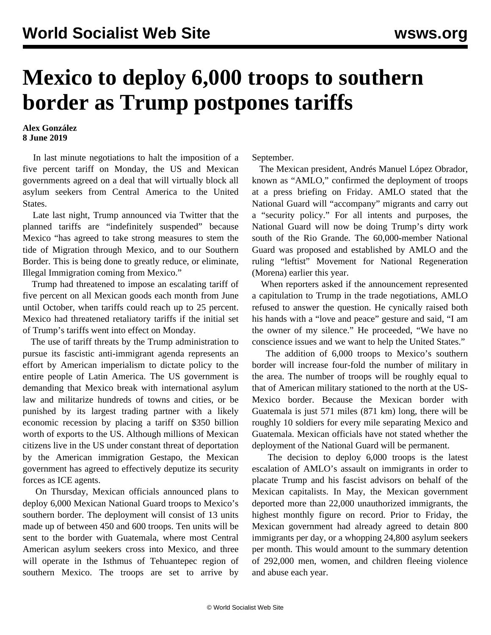## **Mexico to deploy 6,000 troops to southern border as Trump postpones tariffs**

## **Alex González 8 June 2019**

 In last minute negotiations to halt the imposition of a five percent tariff on Monday, the US and Mexican governments agreed on a deal that will virtually block all asylum seekers from Central America to the United States.

 Late last night, Trump announced via Twitter that the planned tariffs are "indefinitely suspended" because Mexico "has agreed to take strong measures to stem the tide of Migration through Mexico, and to our Southern Border. This is being done to greatly reduce, or eliminate, Illegal Immigration coming from Mexico."

 Trump had threatened to impose an escalating tariff of five percent on all Mexican goods each month from June until October, when tariffs could reach up to 25 percent. Mexico had threatened retaliatory tariffs if the initial set of Trump's tariffs went into effect on Monday.

 The use of tariff threats by the Trump administration to pursue its fascistic anti-immigrant agenda represents an effort by American imperialism to dictate policy to the entire people of Latin America. The US government is demanding that Mexico break with international asylum law and militarize hundreds of towns and cities, or be punished by its largest trading partner with a likely economic recession by placing a tariff on \$350 billion worth of exports to the US. Although millions of Mexican citizens live in the US under constant threat of deportation by the American immigration Gestapo, the Mexican government has agreed to effectively deputize its security forces as ICE agents.

 On Thursday, Mexican officials announced plans to deploy 6,000 Mexican National Guard troops to Mexico's southern border. The deployment will consist of 13 units made up of between 450 and 600 troops. Ten units will be sent to the border with Guatemala, where most Central American asylum seekers cross into Mexico, and three will operate in the Isthmus of Tehuantepec region of southern Mexico. The troops are set to arrive by

September.

 The Mexican president, Andrés Manuel López Obrador, known as "AMLO," confirmed the deployment of troops at a press briefing on Friday. AMLO stated that the National Guard will "accompany" migrants and carry out a "security policy." For all intents and purposes, the National Guard will now be doing Trump's dirty work south of the Rio Grande. The 60,000-member National Guard was proposed and established by AMLO and the ruling "leftist" Movement for National Regeneration (Morena) earlier this year.

 When reporters asked if the announcement represented a capitulation to Trump in the trade negotiations, AMLO refused to answer the question. He cynically raised both his hands with a "love and peace" gesture and said, "I am the owner of my silence." He proceeded, "We have no conscience issues and we want to help the United States."

 The addition of 6,000 troops to Mexico's southern border will increase four-fold the number of military in the area. The number of troops will be roughly equal to that of American military stationed to the north at the US-Mexico border. Because the Mexican border with Guatemala is just 571 miles (871 km) long, there will be roughly 10 soldiers for every mile separating Mexico and Guatemala. Mexican officials have not stated whether the deployment of the National Guard will be permanent.

 The decision to deploy 6,000 troops is the latest escalation of AMLO's assault on immigrants in order to placate Trump and his fascist advisors on behalf of the Mexican capitalists. In May, the Mexican government deported more than 22,000 unauthorized immigrants, the highest monthly figure on record. Prior to Friday, the Mexican government had already agreed to detain 800 immigrants per day, or a whopping 24,800 asylum seekers per month. This would amount to the summary detention of 292,000 men, women, and children fleeing violence and abuse each year.